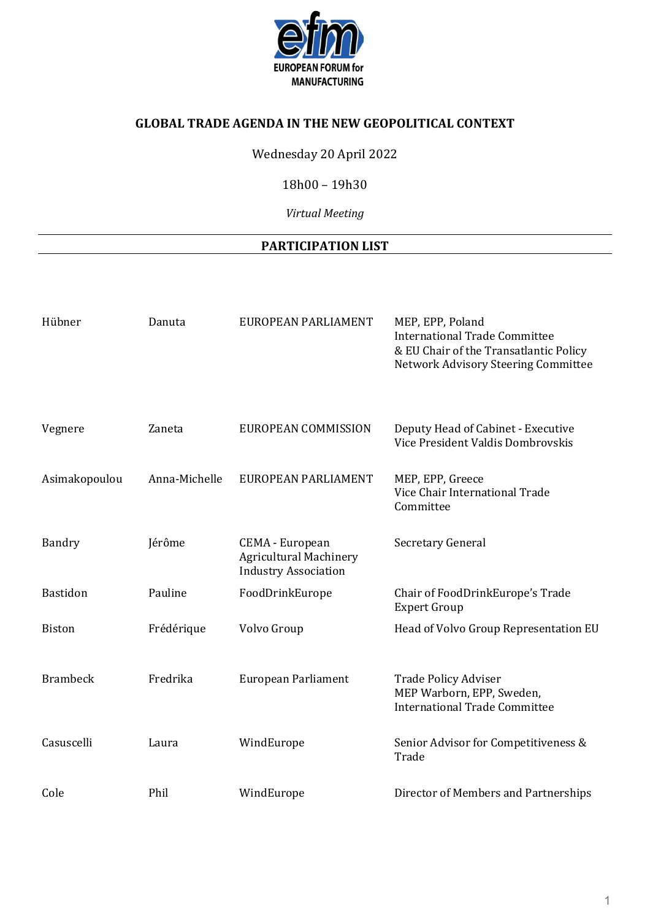

## **GLOBAL TRADE AGENDA IN THE NEW GEOPOLITICAL CONTEXT**

Wednesday 20 April 2022

18h00 – 19h30

*Virtual Meeting* 

## **PARTICIPATION LIST**

| Hübner          | Danuta        | EUROPEAN PARLIAMENT                                                             | MEP, EPP, Poland<br><b>International Trade Committee</b><br>& EU Chair of the Transatlantic Policy<br>Network Advisory Steering Committee |
|-----------------|---------------|---------------------------------------------------------------------------------|-------------------------------------------------------------------------------------------------------------------------------------------|
| Vegnere         | Zaneta        | EUROPEAN COMMISSION                                                             | Deputy Head of Cabinet - Executive<br>Vice President Valdis Dombrovskis                                                                   |
| Asimakopoulou   | Anna-Michelle | EUROPEAN PARLIAMENT                                                             | MEP, EPP, Greece<br>Vice Chair International Trade<br>Committee                                                                           |
| Bandry          | Jérôme        | CEMA - European<br><b>Agricultural Machinery</b><br><b>Industry Association</b> | Secretary General                                                                                                                         |
| <b>Bastidon</b> | Pauline       | FoodDrinkEurope                                                                 | Chair of FoodDrinkEurope's Trade<br><b>Expert Group</b>                                                                                   |
| <b>Biston</b>   | Frédérique    | Volvo Group                                                                     | Head of Volvo Group Representation EU                                                                                                     |
| <b>Brambeck</b> | Fredrika      | European Parliament                                                             | <b>Trade Policy Adviser</b><br>MEP Warborn, EPP, Sweden,<br><b>International Trade Committee</b>                                          |
| Casuscelli      | Laura         | WindEurope                                                                      | Senior Advisor for Competitiveness &<br>Trade                                                                                             |
| Cole            | Phil          | WindEurope                                                                      | Director of Members and Partnerships                                                                                                      |